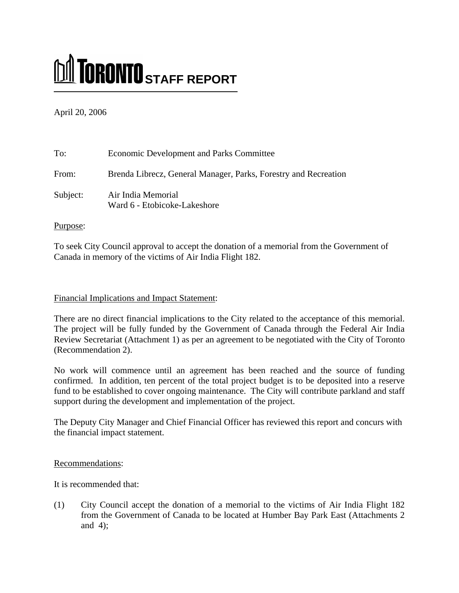# **M** TORONTO STAFF REPORT

April 20, 2006

| To:      | <b>Economic Development and Parks Committee</b>                 |
|----------|-----------------------------------------------------------------|
| From:    | Brenda Librecz, General Manager, Parks, Forestry and Recreation |
| Subject: | Air India Memorial<br>Ward 6 - Etobicoke-Lakeshore              |

# Purpose:

To seek City Council approval to accept the donation of a memorial from the Government of Canada in memory of the victims of Air India Flight 182.

# Financial Implications and Impact Statement:

There are no direct financial implications to the City related to the acceptance of this memorial. The project will be fully funded by the Government of Canada through the Federal Air India Review Secretariat (Attachment 1) as per an agreement to be negotiated with the City of Toronto (Recommendation 2).

No work will commence until an agreement has been reached and the source of funding confirmed. In addition, ten percent of the total project budget is to be deposited into a reserve fund to be established to cover ongoing maintenance. The City will contribute parkland and staff support during the development and implementation of the project.

The Deputy City Manager and Chief Financial Officer has reviewed this report and concurs with the financial impact statement.

# Recommendations:

It is recommended that:

(1) City Council accept the donation of a memorial to the victims of Air India Flight 182 from the Government of Canada to be located at Humber Bay Park East (Attachments 2 and 4);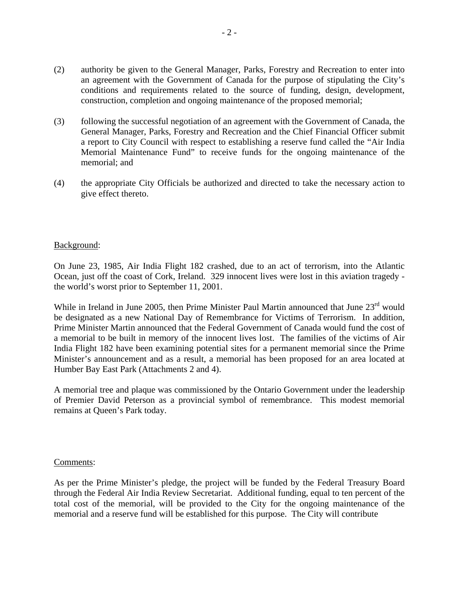- (2) authority be given to the General Manager, Parks, Forestry and Recreation to enter into an agreement with the Government of Canada for the purpose of stipulating the City's conditions and requirements related to the source of funding, design, development, construction, completion and ongoing maintenance of the proposed memorial;
- (3) following the successful negotiation of an agreement with the Government of Canada, the General Manager, Parks, Forestry and Recreation and the Chief Financial Officer submit a report to City Council with respect to establishing a reserve fund called the "Air India Memorial Maintenance Fund" to receive funds for the ongoing maintenance of the memorial; and
- (4) the appropriate City Officials be authorized and directed to take the necessary action to give effect thereto.

# Background:

On June 23, 1985, Air India Flight 182 crashed, due to an act of terrorism, into the Atlantic Ocean, just off the coast of Cork, Ireland. 329 innocent lives were lost in this aviation tragedy the world's worst prior to September 11, 2001.

While in Ireland in June 2005, then Prime Minister Paul Martin announced that June 23<sup>rd</sup> would be designated as a new National Day of Remembrance for Victims of Terrorism. In addition, Prime Minister Martin announced that the Federal Government of Canada would fund the cost of a memorial to be built in memory of the innocent lives lost. The families of the victims of Air India Flight 182 have been examining potential sites for a permanent memorial since the Prime Minister's announcement and as a result, a memorial has been proposed for an area located at Humber Bay East Park (Attachments 2 and 4).

A memorial tree and plaque was commissioned by the Ontario Government under the leadership of Premier David Peterson as a provincial symbol of remembrance. This modest memorial remains at Queen's Park today.

### Comments:

As per the Prime Minister's pledge, the project will be funded by the Federal Treasury Board through the Federal Air India Review Secretariat. Additional funding, equal to ten percent of the total cost of the memorial, will be provided to the City for the ongoing maintenance of the memorial and a reserve fund will be established for this purpose. The City will contribute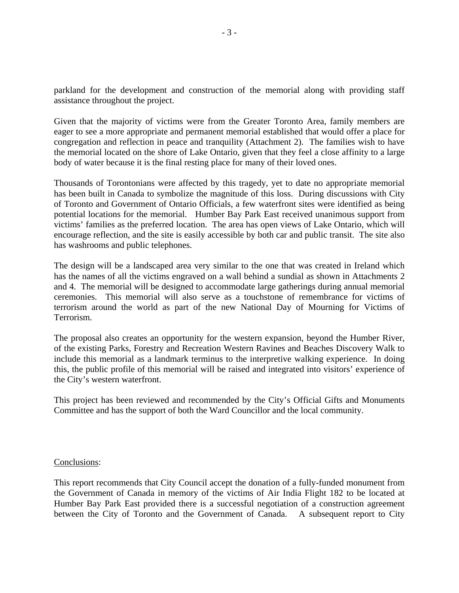parkland for the development and construction of the memorial along with providing staff assistance throughout the project.

Given that the majority of victims were from the Greater Toronto Area, family members are eager to see a more appropriate and permanent memorial established that would offer a place for congregation and reflection in peace and tranquility (Attachment 2). The families wish to have the memorial located on the shore of Lake Ontario, given that they feel a close affinity to a large body of water because it is the final resting place for many of their loved ones.

Thousands of Torontonians were affected by this tragedy, yet to date no appropriate memorial has been built in Canada to symbolize the magnitude of this loss. During discussions with City of Toronto and Government of Ontario Officials, a few waterfront sites were identified as being potential locations for the memorial. Humber Bay Park East received unanimous support from victims' families as the preferred location. The area has open views of Lake Ontario, which will encourage reflection, and the site is easily accessible by both car and public transit. The site also has washrooms and public telephones.

The design will be a landscaped area very similar to the one that was created in Ireland which has the names of all the victims engraved on a wall behind a sundial as shown in Attachments 2 and 4. The memorial will be designed to accommodate large gatherings during annual memorial ceremonies. This memorial will also serve as a touchstone of remembrance for victims of terrorism around the world as part of the new National Day of Mourning for Victims of Terrorism.

The proposal also creates an opportunity for the western expansion, beyond the Humber River, of the existing Parks, Forestry and Recreation Western Ravines and Beaches Discovery Walk to include this memorial as a landmark terminus to the interpretive walking experience. In doing this, the public profile of this memorial will be raised and integrated into visitors' experience of the City's western waterfront.

This project has been reviewed and recommended by the City's Official Gifts and Monuments Committee and has the support of both the Ward Councillor and the local community.

#### Conclusions:

This report recommends that City Council accept the donation of a fully-funded monument from the Government of Canada in memory of the victims of Air India Flight 182 to be located at Humber Bay Park East provided there is a successful negotiation of a construction agreement between the City of Toronto and the Government of Canada. A subsequent report to City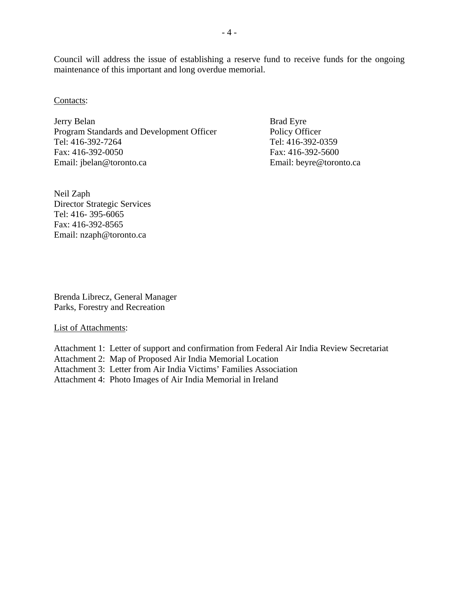Council will address the issue of establishing a reserve fund to receive funds for the ongoing maintenance of this important and long overdue memorial.

Contacts:

Jerry Belan Brad Eyre Program Standards and Development Officer Policy Officer Tel: 416-392-7264 Tel: 416-392-0359 Fax: 416-392-0050 Fax: 416-392-5600 Email: jbelan@toronto.ca Email: beyre@toronto.ca

Neil Zaph Director Strategic Services Tel: 416- 395-6065 Fax: 416-392-8565 Email: nzaph@toronto.ca

Brenda Librecz, General Manager Parks, Forestry and Recreation

List of Attachments:

Attachment 1: Letter of support and confirmation from Federal Air India Review Secretariat

Attachment 2: Map of Proposed Air India Memorial Location

Attachment 3: Letter from Air India Victims' Families Association

Attachment 4: Photo Images of Air India Memorial in Ireland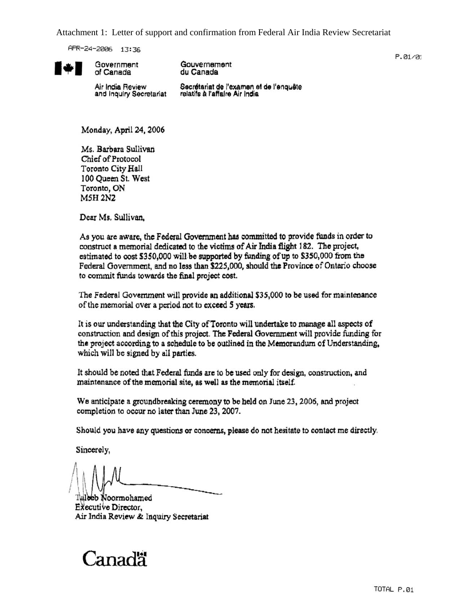Attachment 1: Letter of support and confirmation from Federal Air India Review Secretariat

APR-24-2006 13:36

Government

of Canada



Gouvernement du Canada

 $P.01/01$ 

Air India Review and Inquiry Secretariat

Secrétariat de l'examen et de l'enquête relatifs à l'affaire Air India

Monday, April 24, 2006

Ms. Barbara Sullivan Chief of Protocol Toronto City Hall 100 Queen St. West Toronto, ON **M5H 2N2** 

Dear Ms. Sullivan.

As you are aware, the Federal Government has committed to provide funds in order to construct a memorial dedicated to the victims of Air India flight 182. The project, estimated to cost \$350,000 will be supported by funding of up to \$350,000 from the Federal Government, and no less than \$225,000, should the Province of Ontario choose to commit funds towards the final project cost.

The Federal Government will provide an additional \$35,000 to be used for maintenance of the memorial over a period not to exceed 5 years.

It is our understanding that the City of Toronto will undertake to manage all aspects of construction and design of this project. The Federal Government will provide funding for the project according to a schedule to be outlined in the Memorandum of Understanding, which will be signed by all parties.

It should be noted that Federal funds are to be used only for design, construction, and maintenance of the memorial site, as well as the memorial itself.

We anticipate a groundbreaking ceremony to be held on June 23, 2006, and project completion to occur no later than June 23, 2007.

Should you have any questions or concerns, please do not hesitate to contact me directly.

Sincerely,

leeb Noormohamed Executive Director, Air India Review & Inquiry Secretariat

# . anadä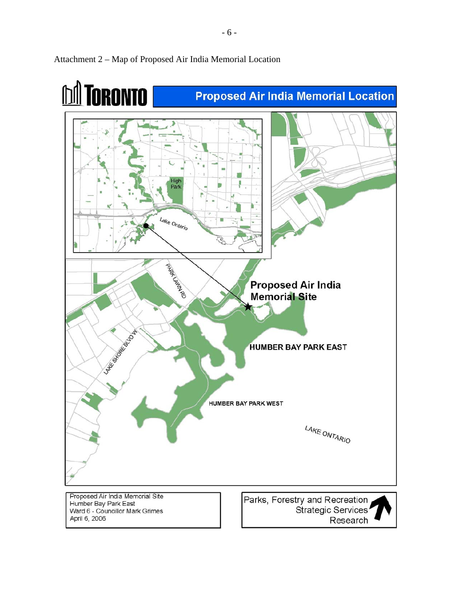

# Attachment 2 – Map of Proposed Air India Memorial Location

Ward 6 - Councillor Mark Grimes April 6, 2006

Research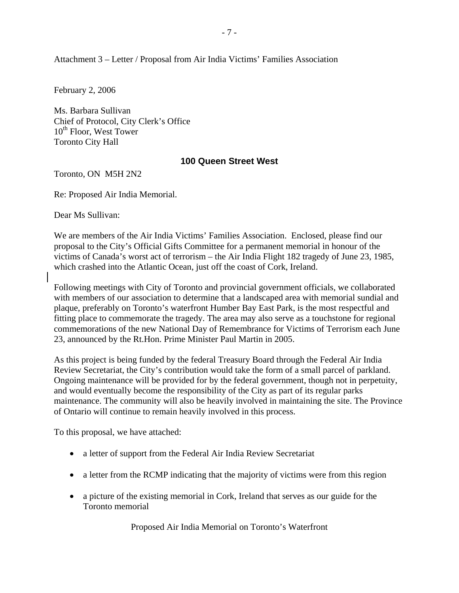Attachment 3 – Letter / Proposal from Air India Victims' Families Association

February 2, 2006

Ms. Barbara Sullivan Chief of Protocol, City Clerk's Office 10<sup>th</sup> Floor, West Tower Toronto City Hall

# **100 Queen Street West**

Toronto, ON M5H 2N2

Re: Proposed Air India Memorial.

Dear Ms Sullivan:

We are members of the Air India Victims' Families Association. Enclosed, please find our proposal to the City's Official Gifts Committee for a permanent memorial in honour of the victims of Canada's worst act of terrorism – the Air India Flight 182 tragedy of June 23, 1985, which crashed into the Atlantic Ocean, just off the coast of Cork, Ireland.

Following meetings with City of Toronto and provincial government officials, we collaborated with members of our association to determine that a landscaped area with memorial sundial and plaque, preferably on Toronto's waterfront Humber Bay East Park, is the most respectful and fitting place to commemorate the tragedy. The area may also serve as a touchstone for regional commemorations of the new National Day of Remembrance for Victims of Terrorism each June 23, announced by the Rt.Hon. Prime Minister Paul Martin in 2005.

As this project is being funded by the federal Treasury Board through the Federal Air India Review Secretariat, the City's contribution would take the form of a small parcel of parkland. Ongoing maintenance will be provided for by the federal government, though not in perpetuity, and would eventually become the responsibility of the City as part of its regular parks maintenance. The community will also be heavily involved in maintaining the site. The Province of Ontario will continue to remain heavily involved in this process.

To this proposal, we have attached:

- a letter of support from the Federal Air India Review Secretariat
- a letter from the RCMP indicating that the majority of victims were from this region
- a picture of the existing memorial in Cork, Ireland that serves as our guide for the Toronto memorial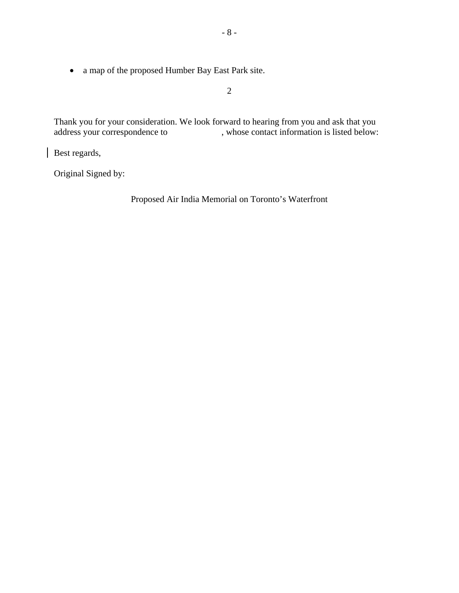• a map of the proposed Humber Bay East Park site.

2

Thank you for your consideration. We look forward to hearing from you and ask that you address your correspondence to , whose contact information is listed below: , whose contact information is listed below:

Best regards,

Original Signed by: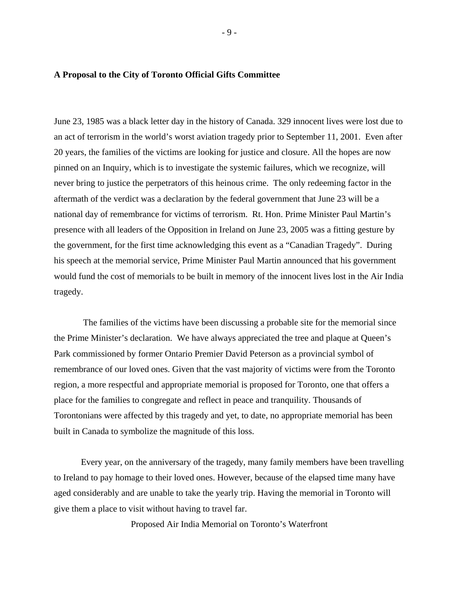#### **A Proposal to the City of Toronto Official Gifts Committee**

June 23, 1985 was a black letter day in the history of Canada. 329 innocent lives were lost due to an act of terrorism in the world's worst aviation tragedy prior to September 11, 2001. Even after 20 years, the families of the victims are looking for justice and closure. All the hopes are now pinned on an Inquiry, which is to investigate the systemic failures, which we recognize, will never bring to justice the perpetrators of this heinous crime. The only redeeming factor in the aftermath of the verdict was a declaration by the federal government that June 23 will be a national day of remembrance for victims of terrorism. Rt. Hon. Prime Minister Paul Martin's presence with all leaders of the Opposition in Ireland on June 23, 2005 was a fitting gesture by the government, for the first time acknowledging this event as a "Canadian Tragedy". During his speech at the memorial service, Prime Minister Paul Martin announced that his government would fund the cost of memorials to be built in memory of the innocent lives lost in the Air India tragedy.

 The families of the victims have been discussing a probable site for the memorial since the Prime Minister's declaration. We have always appreciated the tree and plaque at Queen's Park commissioned by former Ontario Premier David Peterson as a provincial symbol of remembrance of our loved ones. Given that the vast majority of victims were from the Toronto region, a more respectful and appropriate memorial is proposed for Toronto, one that offers a place for the families to congregate and reflect in peace and tranquility. Thousands of Torontonians were affected by this tragedy and yet, to date, no appropriate memorial has been built in Canada to symbolize the magnitude of this loss.

Every year, on the anniversary of the tragedy, many family members have been travelling to Ireland to pay homage to their loved ones. However, because of the elapsed time many have aged considerably and are unable to take the yearly trip. Having the memorial in Toronto will give them a place to visit without having to travel far.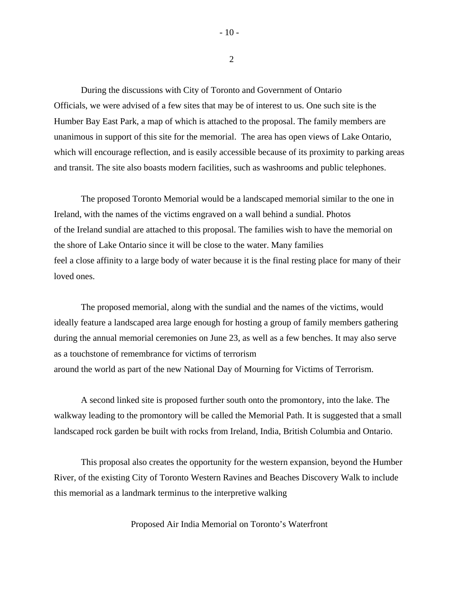During the discussions with City of Toronto and Government of Ontario Officials, we were advised of a few sites that may be of interest to us. One such site is the Humber Bay East Park, a map of which is attached to the proposal. The family members are unanimous in support of this site for the memorial. The area has open views of Lake Ontario, which will encourage reflection, and is easily accessible because of its proximity to parking areas and transit. The site also boasts modern facilities, such as washrooms and public telephones.

The proposed Toronto Memorial would be a landscaped memorial similar to the one in Ireland, with the names of the victims engraved on a wall behind a sundial. Photos of the Ireland sundial are attached to this proposal. The families wish to have the memorial on the shore of Lake Ontario since it will be close to the water. Many families feel a close affinity to a large body of water because it is the final resting place for many of their loved ones.

The proposed memorial, along with the sundial and the names of the victims, would ideally feature a landscaped area large enough for hosting a group of family members gathering during the annual memorial ceremonies on June 23, as well as a few benches. It may also serve as a touchstone of remembrance for victims of terrorism around the world as part of the new National Day of Mourning for Victims of Terrorism.

A second linked site is proposed further south onto the promontory, into the lake. The walkway leading to the promontory will be called the Memorial Path. It is suggested that a small landscaped rock garden be built with rocks from Ireland, India, British Columbia and Ontario.

This proposal also creates the opportunity for the western expansion, beyond the Humber River, of the existing City of Toronto Western Ravines and Beaches Discovery Walk to include this memorial as a landmark terminus to the interpretive walking

Proposed Air India Memorial on Toronto's Waterfront

 $-10-$ 

2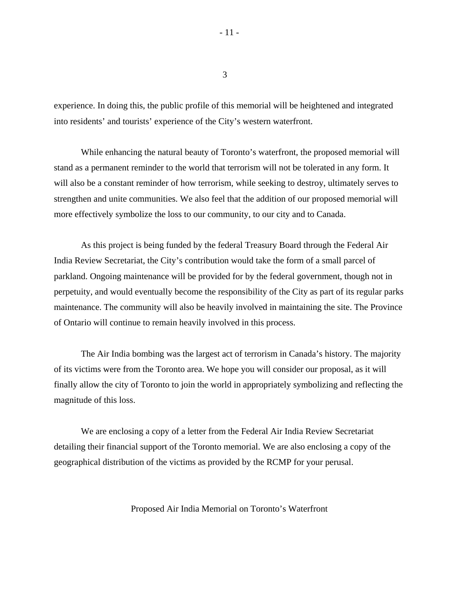3

experience. In doing this, the public profile of this memorial will be heightened and integrated into residents' and tourists' experience of the City's western waterfront.

While enhancing the natural beauty of Toronto's waterfront, the proposed memorial will stand as a permanent reminder to the world that terrorism will not be tolerated in any form. It will also be a constant reminder of how terrorism, while seeking to destroy, ultimately serves to strengthen and unite communities. We also feel that the addition of our proposed memorial will more effectively symbolize the loss to our community, to our city and to Canada.

As this project is being funded by the federal Treasury Board through the Federal Air India Review Secretariat, the City's contribution would take the form of a small parcel of parkland. Ongoing maintenance will be provided for by the federal government, though not in perpetuity, and would eventually become the responsibility of the City as part of its regular parks maintenance. The community will also be heavily involved in maintaining the site. The Province of Ontario will continue to remain heavily involved in this process.

The Air India bombing was the largest act of terrorism in Canada's history. The majority of its victims were from the Toronto area. We hope you will consider our proposal, as it will finally allow the city of Toronto to join the world in appropriately symbolizing and reflecting the magnitude of this loss.

We are enclosing a copy of a letter from the Federal Air India Review Secretariat detailing their financial support of the Toronto memorial. We are also enclosing a copy of the geographical distribution of the victims as provided by the RCMP for your perusal.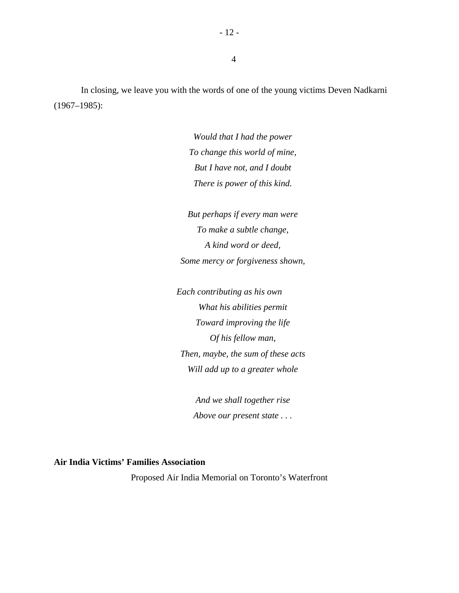In closing, we leave you with the words of one of the young victims Deven Nadkarni (1967–1985):

4

*Would that I had the power To change this world of mine, But I have not, and I doubt There is power of this kind.* 

*But perhaps if every man were To make a subtle change, A kind word or deed, Some mercy or forgiveness shown,* 

*Each contributing as his own What his abilities permit Toward improving the life Of his fellow man, Then, maybe, the sum of these acts Will add up to a greater whole* 

> *And we shall together rise Above our present state . . .*

# **Air India Victims' Families Association**